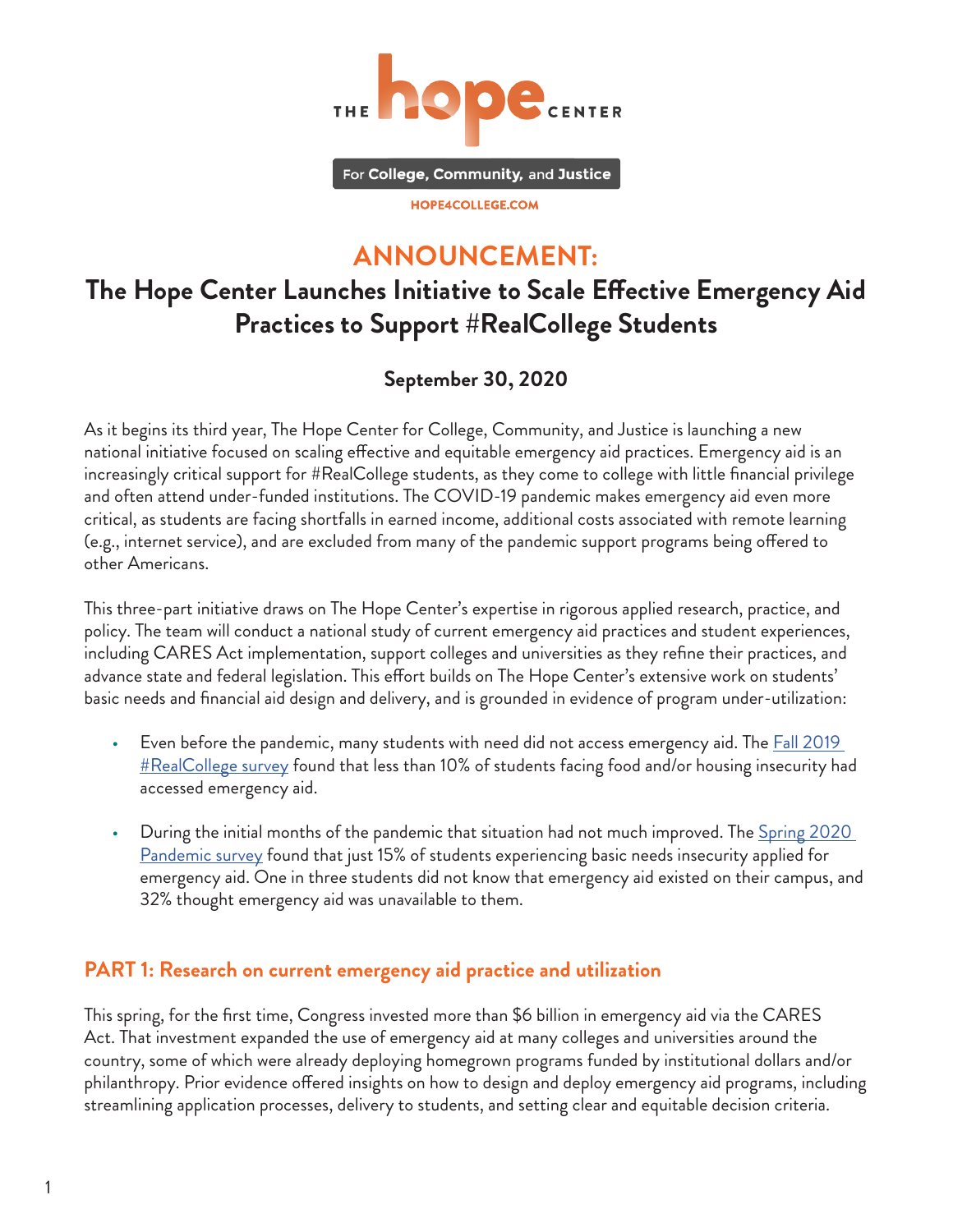

For College, Community, and Justice

HOPE4COLLEGE.COM

# **ANNOUNCEMENT:**

## **The Hope Center Launches Initiative to Scale Effective Emergency Aid Practices to Support #RealCollege Students**

### **September 30, 2020**

As it begins its third year, The Hope Center for College, Community, and Justice is launching a new national initiative focused on scaling effective and equitable emergency aid practices. Emergency aid is an increasingly critical support for #RealCollege students, as they come to college with little financial privilege and often attend under-funded institutions. The COVID-19 pandemic makes emergency aid even more critical, as students are facing shortfalls in earned income, additional costs associated with remote learning (e.g., internet service), and are excluded from many of the pandemic support programs being offered to other Americans.

This three-part initiative draws on The Hope Center's expertise in rigorous applied research, practice, and policy. The team will conduct a national study of current emergency aid practices and student experiences, including CARES Act implementation, support colleges and universities as they refine their practices, and advance state and federal legislation. This effort builds on The Hope Center's extensive work on students' basic needs and financial aid design and delivery, and is grounded in evidence of program under-utilization:

- Even before the pandemic, many students with need did not access emergency aid. The **[Fall 2019](https://hope4college.com/realcollege-2020-five-years-of-evidence-on-basic-needs-insecurity/)**  $\#Real College$  survey found that less than 10% of students facing food and/or housing insecurity had accessed emergency aid.
- During the initial months of the pandemic that situation had not much improved. The [Spring 2020](https://hope4college.com/realcollege-during-the-pandemic/) [Pandemic survey](https://hope4college.com/realcollege-during-the-pandemic/) found that just 15% of students experiencing basic needs insecurity applied for emergency aid. One in three students did not know that emergency aid existed on their campus, and 32% thought emergency aid was unavailable to them.

### **PART 1: Research on current emergency aid practice and utilization**

This spring, for the first time, Congress invested more than \$6 billion in emergency aid via the CARES Act. That investment expanded the use of emergency aid at many colleges and universities around the country, some of which were already deploying homegrown programs funded by institutional dollars and/or philanthropy. Prior evidence offered insights on how to design and deploy emergency aid programs, including streamlining application processes, delivery to students, and setting clear and equitable decision criteria.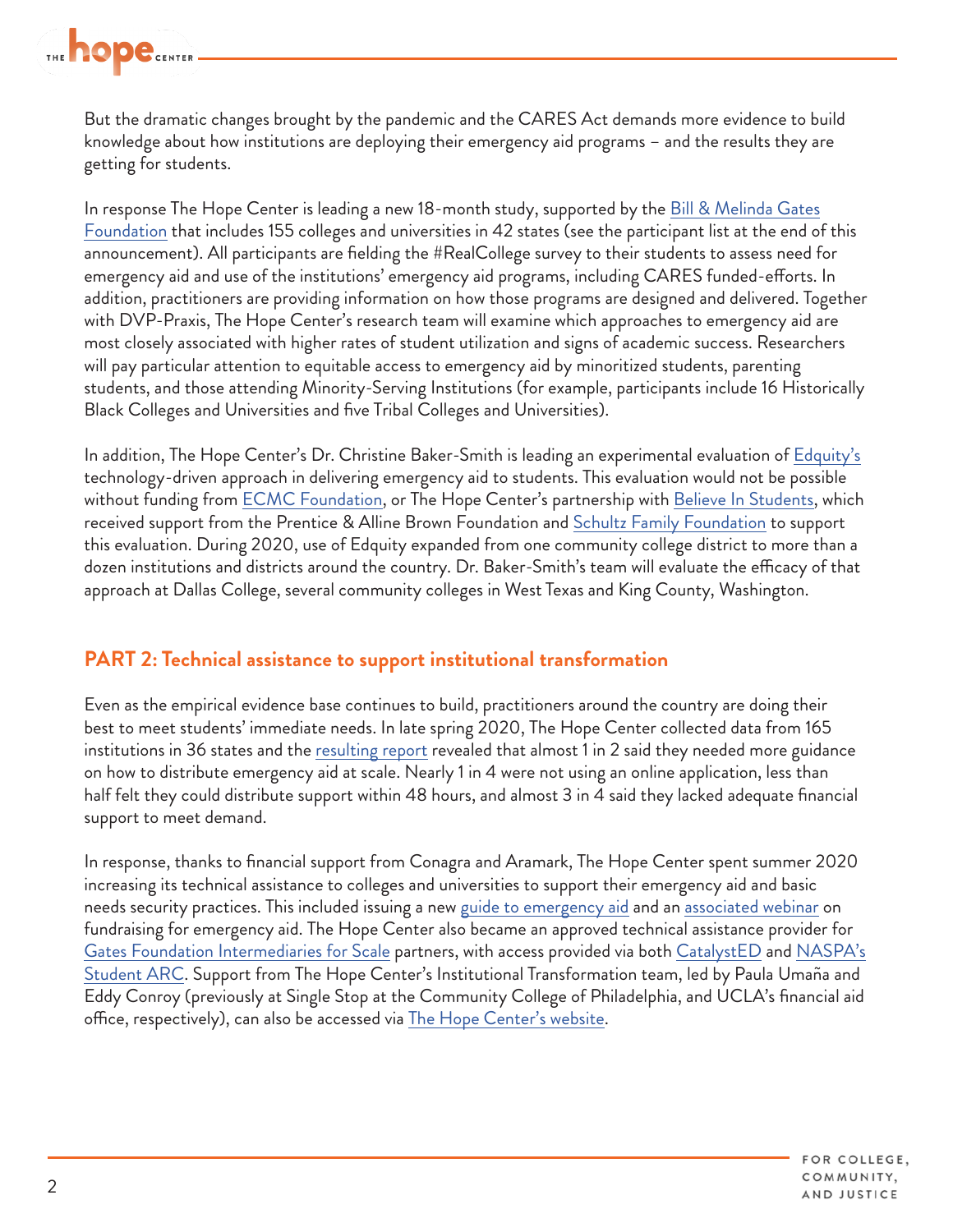

But the dramatic changes brought by the pandemic and the CARES Act demands more evidence to build knowledge about how institutions are deploying their emergency aid programs – and the results they are getting for students.

In response The Hope Center is leading a new 18-month study, supported by the [Bill & Melinda Gates](https://www.gatesfoundation.org/)  [Foundation](https://www.gatesfoundation.org/) that includes 155 colleges and universities in 42 states (see the participant list at the end of this announcement). All participants are fielding the #RealCollege survey to their students to assess need for emergency aid and use of the institutions' emergency aid programs, including CARES funded-efforts. In addition, practitioners are providing information on how those programs are designed and delivered. Together with DVP-Praxis, The Hope Center's research team will examine which approaches to emergency aid are most closely associated with higher rates of student utilization and signs of academic success. Researchers will pay particular attention to equitable access to emergency aid by minoritized students, parenting students, and those attending Minority-Serving Institutions (for example, participants include 16 Historically Black Colleges and Universities and five Tribal Colleges and Universities).

In addition, The Hope Center's Dr. Christine Baker-Smith is leading an experimental evaluation of [Edquity's](https://www.edquity.co/) technology-driven approach in delivering emergency aid to students. This evaluation would not be possible without funding from **ECMC Foundation**, or The Hope Center's partnership with [Believe In Students](https://believeinstudents.org/), which received support from the Prentice & Alline Brown Foundation and [Schultz Family Foundation](https://schultzfamilyfoundation.org/) to support this evaluation. During 2020, use of Edquity expanded from one community college district to more than a dozen institutions and districts around the country. Dr. Baker-Smith's team will evaluate the efficacy of that approach at Dallas College, several community colleges in West Texas and King County, Washington.

#### **PART 2: Technical assistance to support institutional transformation**

Even as the empirical evidence base continues to build, practitioners around the country are doing their best to meet students' immediate needs. In late spring 2020, The Hope Center collected data from 165 institutions in 36 states and the [resulting report](https://hope4college.com/realcollege-during-the-pandemic-institutional-responses/) revealed that almost 1 in 2 said they needed more guidance on how to distribute emergency aid at scale. Nearly 1 in 4 were not using an online application, less than half felt they could distribute support within 48 hours, and almost 3 in 4 said they lacked adequate financial support to meet demand.

In response, thanks to financial support from Conagra and Aramark, The Hope Center spent summer 2020 increasing its technical assistance to colleges and universities to support their emergency aid and basic needs security practices. This included issuing a new [guide to emergency aid](https://hope4college.com/guide-to-emergency-grant-aid-distribution/) and an [associated webinar](https://hope4college.com/webinar-how-to-fundraise-for-emergency-aid/) on fundraising for emergency aid. The Hope Center also became an approved technical assistance provider for [Gates Foundation Intermediaries for Scale](https://postsecondary.gatesfoundation.org/areas-of-focus/transformation/institutional-partnerships/intermediaries-for-scale-rfp/) partners, with access provided via both [CatalystED](http://www.catalyst-ed.org/) and NASPA's [Student ARC](https://studentarc.org/). Support from The Hope Center's Institutional Transformation team, led by Paula Umaña and Eddy Conroy (previously at Single Stop at the Community College of Philadelphia, and UCLA's financial aid office, respectively), can also be accessed via [The Hope Center's website](https://hope4college.com/realcollege-technical-assistance/).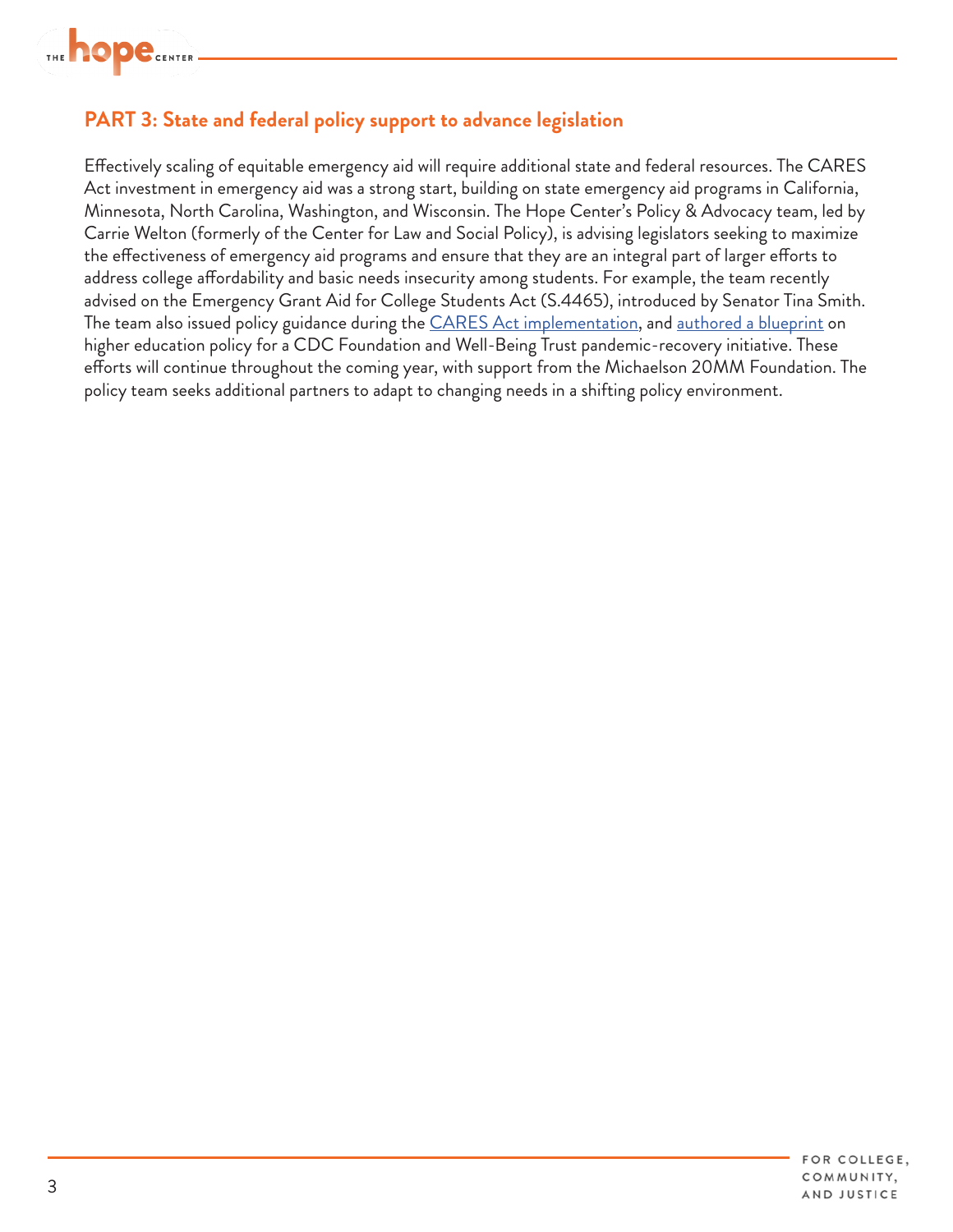

### **PART 3: State and federal policy support to advance legislation**

Effectively scaling of equitable emergency aid will require additional state and federal resources. The CARES Act investment in emergency aid was a strong start, building on state emergency aid programs in California, Minnesota, North Carolina, Washington, and Wisconsin. The Hope Center's Policy & Advocacy team, led by Carrie Welton (formerly of the Center for Law and Social Policy), is advising legislators seeking to maximize the effectiveness of emergency aid programs and ensure that they are an integral part of larger efforts to address college affordability and basic needs insecurity among students. For example, the team recently advised on the Emergency Grant Aid for College Students Act (S.4465), introduced by Senator Tina Smith. The team also issued policy guidance during the **CARES** Act implementation, and [authored a blueprint](https://hope4college.com/thriving-together-a-springboard-fort-equitable-recovery-resilience-in-communities-across-america/) on higher education policy for a CDC Foundation and Well-Being Trust pandemic-recovery initiative. These efforts will continue throughout the coming year, with support from the Michaelson 20MM Foundation. The policy team seeks additional partners to adapt to changing needs in a shifting policy environment.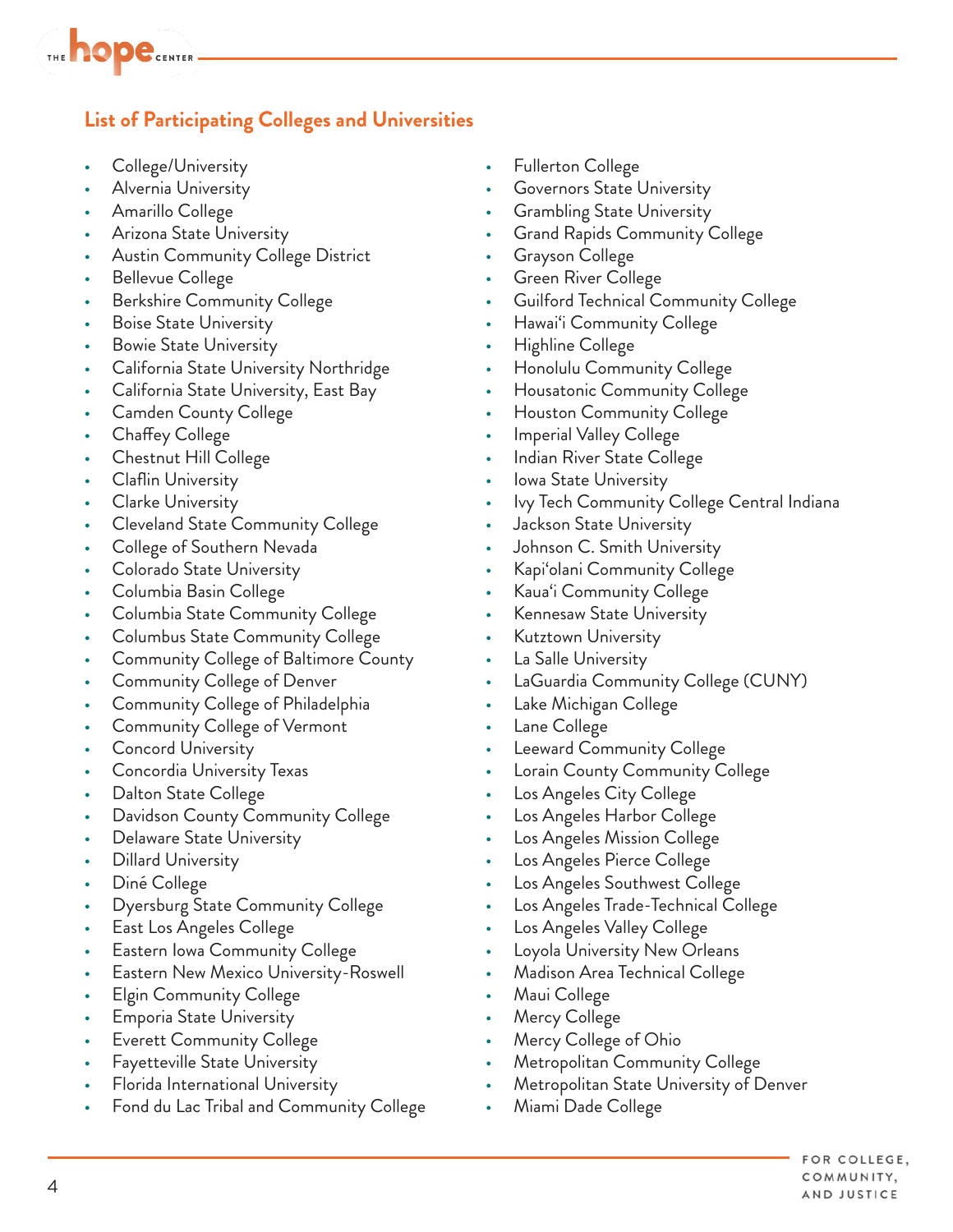

### **List of Participating Colleges and Universities**

- College/University
- Alvernia University
- Amarillo College
- Arizona State University
- Austin Community College District
- Bellevue College
- Berkshire Community College
- Boise State University
- Bowie State University
- California State University Northridge
- California State University, East Bay
- Camden County College
- Chaffey College
- Chestnut Hill College
- Claflin University
- Clarke University
- Cleveland State Community College
- College of Southern Nevada
- Colorado State University
- Columbia Basin College
- Columbia State Community College
- Columbus State Community College
- Community College of Baltimore County
- Community College of Denver
- Community College of Philadelphia
- Community College of Vermont
- Concord University
- Concordia University Texas
- Dalton State College
- Davidson County Community College
- Delaware State University
- Dillard University
- Diné College
- Dyersburg State Community College
- East Los Angeles College
- Eastern Iowa Community College
- Eastern New Mexico University-Roswell
- Elgin Community College
- Emporia State University
- Everett Community College
- Fayetteville State University
- Florida International University
- Fond du Lac Tribal and Community College
- Fullerton College
- Governors State University
- Grambling State University
- Grand Rapids Community College
- Grayson College
- Green River College
- Guilford Technical Community College
- Hawai'i Community College
- Highline College
- Honolulu Community College
- Housatonic Community College
- Houston Community College
- Imperial Valley College
- Indian River State College
- lowa State University
- Ivy Tech Community College Central Indiana
- Jackson State University
- Johnson C. Smith University
- Kapi'olani Community College
- Kaua'i Community College
- Kennesaw State University
- Kutztown University
- La Salle University
- LaGuardia Community College (CUNY)
- Lake Michigan College
- Lane College
- Leeward Community College
- Lorain County Community College
- Los Angeles City College
- Los Angeles Harbor College
- Los Angeles Mission College
- Los Angeles Pierce College
- Los Angeles Southwest College
- Los Angeles Trade-Technical College
- Los Angeles Valley College
- Loyola University New Orleans
- Madison Area Technical College
- Maui College
- Mercy College
- Mercy College of Ohio
- Metropolitan Community College
- Metropolitan State University of Denver
- Miami Dade College